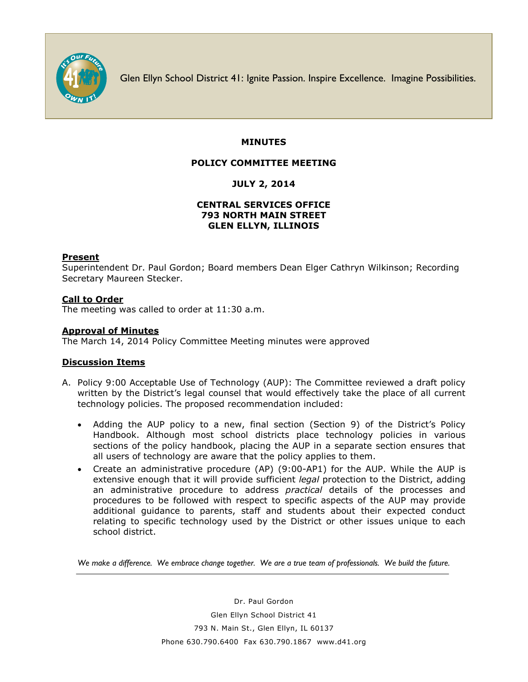

Glen Ellyn School District 41: Ignite Passion. Inspire Excellence. Imagine Possibilities.

## **MINUTES**

### **POLICY COMMITTEE MEETING**

# **JULY 2, 2014**

## **CENTRAL SERVICES OFFICE 793 NORTH MAIN STREET GLEN ELLYN, ILLINOIS**

#### **Present**

Superintendent Dr. Paul Gordon; Board members Dean Elger Cathryn Wilkinson; Recording Secretary Maureen Stecker.

#### **Call to Order**

The meeting was called to order at 11:30 a.m.

#### **Approval of Minutes**

The March 14, 2014 Policy Committee Meeting minutes were approved

#### **Discussion Items**

- A. Policy 9:00 Acceptable Use of Technology (AUP): The Committee reviewed a draft policy written by the District's legal counsel that would effectively take the place of all current technology policies. The proposed recommendation included:
	- Adding the AUP policy to a new, final section (Section 9) of the District's Policy Handbook. Although most school districts place technology policies in various sections of the policy handbook, placing the AUP in a separate section ensures that all users of technology are aware that the policy applies to them.
	- Create an administrative procedure (AP) (9:00-AP1) for the AUP. While the AUP is extensive enough that it will provide sufficient *legal* protection to the District, adding an administrative procedure to address *practical* details of the processes and procedures to be followed with respect to specific aspects of the AUP may provide additional guidance to parents, staff and students about their expected conduct relating to specific technology used by the District or other issues unique to each school district.

*We make a difference. We embrace change together. We are a true team of professionals. We build the future.*